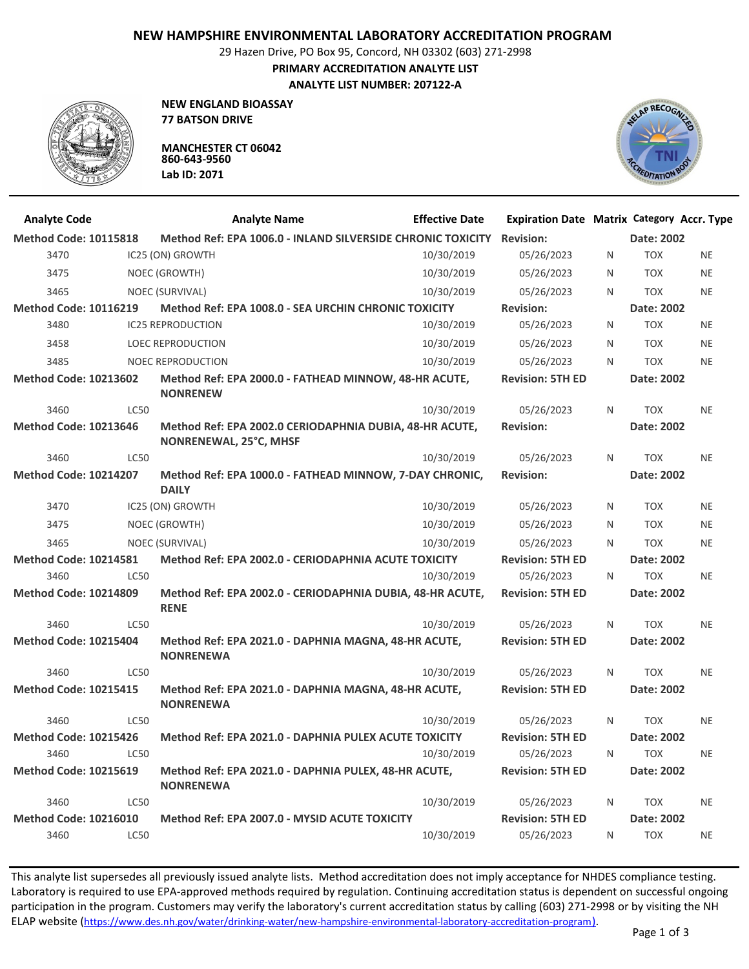## **NEW HAMPSHIRE ENVIRONMENTAL LABORATORY ACCREDITATION PROGRAM**

29 Hazen Drive, PO Box 95, Concord, NH 03302 (603) 271-2998

**PRIMARY ACCREDITATION ANALYTE LIST**

**ANALYTE LIST NUMBER: 207122-A**



**NEW ENGLAND BIOASSAY 77 BATSON DRIVE**

**MANCHESTER CT 06042 860-643-9560 Lab ID: 2071**



| <b>Analyte Code</b>          |             | <b>Analyte Name</b>                                                               | <b>Effective Date</b> | <b>Expiration Date Matrix Category Accr. Type</b> |   |            |           |
|------------------------------|-------------|-----------------------------------------------------------------------------------|-----------------------|---------------------------------------------------|---|------------|-----------|
| <b>Method Code: 10115818</b> |             | Method Ref: EPA 1006.0 - INLAND SILVERSIDE CHRONIC TOXICITY                       |                       | <b>Revision:</b>                                  |   | Date: 2002 |           |
| 3470                         |             | IC25 (ON) GROWTH                                                                  | 10/30/2019            | 05/26/2023                                        | N | <b>TOX</b> | <b>NE</b> |
| 3475                         |             | NOEC (GROWTH)                                                                     | 10/30/2019            | 05/26/2023                                        | N | <b>TOX</b> | <b>NE</b> |
| 3465                         |             | NOEC (SURVIVAL)                                                                   | 10/30/2019            | 05/26/2023                                        | N | <b>TOX</b> | <b>NE</b> |
| <b>Method Code: 10116219</b> |             | Method Ref: EPA 1008.0 - SEA URCHIN CHRONIC TOXICITY                              |                       | <b>Revision:</b>                                  |   | Date: 2002 |           |
| 3480                         |             | <b>IC25 REPRODUCTION</b>                                                          | 10/30/2019            | 05/26/2023                                        | N | <b>TOX</b> | <b>NE</b> |
| 3458                         |             | <b>LOEC REPRODUCTION</b>                                                          | 10/30/2019            | 05/26/2023                                        | N | <b>TOX</b> | <b>NE</b> |
| 3485                         |             | <b>NOEC REPRODUCTION</b>                                                          | 10/30/2019            | 05/26/2023                                        | N | <b>TOX</b> | <b>NE</b> |
| <b>Method Code: 10213602</b> |             | Method Ref: EPA 2000.0 - FATHEAD MINNOW, 48-HR ACUTE,<br><b>NONRENEW</b>          |                       | <b>Revision: 5TH ED</b>                           |   | Date: 2002 |           |
| 3460                         | <b>LC50</b> |                                                                                   | 10/30/2019            | 05/26/2023                                        | N | <b>TOX</b> | <b>NE</b> |
| <b>Method Code: 10213646</b> |             | Method Ref: EPA 2002.0 CERIODAPHNIA DUBIA, 48-HR ACUTE,<br>NONRENEWAL, 25°C, MHSF |                       | <b>Revision:</b>                                  |   | Date: 2002 |           |
| 3460                         | <b>LC50</b> |                                                                                   | 10/30/2019            | 05/26/2023                                        | N | <b>TOX</b> | <b>NE</b> |
| <b>Method Code: 10214207</b> |             | Method Ref: EPA 1000.0 - FATHEAD MINNOW, 7-DAY CHRONIC,<br><b>DAILY</b>           |                       | <b>Revision:</b>                                  |   | Date: 2002 |           |
| 3470                         |             | IC25 (ON) GROWTH                                                                  | 10/30/2019            | 05/26/2023                                        | N | <b>TOX</b> | <b>NE</b> |
| 3475                         |             | NOEC (GROWTH)                                                                     | 10/30/2019            | 05/26/2023                                        | N | <b>TOX</b> | <b>NE</b> |
| 3465                         |             | NOEC (SURVIVAL)                                                                   | 10/30/2019            | 05/26/2023                                        | N | <b>TOX</b> | <b>NE</b> |
| <b>Method Code: 10214581</b> |             | Method Ref: EPA 2002.0 - CERIODAPHNIA ACUTE TOXICITY                              |                       | <b>Revision: 5TH ED</b>                           |   | Date: 2002 |           |
| 3460                         | <b>LC50</b> |                                                                                   | 10/30/2019            | 05/26/2023                                        | N | <b>TOX</b> | <b>NE</b> |
| <b>Method Code: 10214809</b> |             | Method Ref: EPA 2002.0 - CERIODAPHNIA DUBIA, 48-HR ACUTE,<br><b>RENE</b>          |                       | <b>Revision: 5TH ED</b>                           |   | Date: 2002 |           |
| 3460                         | <b>LC50</b> |                                                                                   | 10/30/2019            | 05/26/2023                                        | N | <b>TOX</b> | <b>NE</b> |
| <b>Method Code: 10215404</b> |             | Method Ref: EPA 2021.0 - DAPHNIA MAGNA, 48-HR ACUTE,<br><b>NONRENEWA</b>          |                       | <b>Revision: 5TH ED</b>                           |   | Date: 2002 |           |
| 3460                         | <b>LC50</b> |                                                                                   | 10/30/2019            | 05/26/2023                                        | N | <b>TOX</b> | <b>NE</b> |
| <b>Method Code: 10215415</b> |             | Method Ref: EPA 2021.0 - DAPHNIA MAGNA, 48-HR ACUTE,<br><b>NONRENEWA</b>          |                       | <b>Revision: 5TH ED</b>                           |   | Date: 2002 |           |
| 3460                         | <b>LC50</b> |                                                                                   | 10/30/2019            | 05/26/2023                                        | N | <b>TOX</b> | <b>NE</b> |
| <b>Method Code: 10215426</b> |             | Method Ref: EPA 2021.0 - DAPHNIA PULEX ACUTE TOXICITY                             |                       | <b>Revision: 5TH ED</b>                           |   | Date: 2002 |           |
| 3460                         | <b>LC50</b> |                                                                                   | 10/30/2019            | 05/26/2023                                        | N | <b>TOX</b> | <b>NE</b> |
| <b>Method Code: 10215619</b> |             | Method Ref: EPA 2021.0 - DAPHNIA PULEX, 48-HR ACUTE,<br><b>NONRENEWA</b>          |                       | <b>Revision: 5TH ED</b>                           |   | Date: 2002 |           |
| 3460                         | <b>LC50</b> |                                                                                   | 10/30/2019            | 05/26/2023                                        | N | <b>TOX</b> | <b>NE</b> |
| <b>Method Code: 10216010</b> |             | Method Ref: EPA 2007.0 - MYSID ACUTE TOXICITY                                     |                       | <b>Revision: 5TH ED</b>                           |   | Date: 2002 |           |
| 3460                         | <b>LC50</b> |                                                                                   | 10/30/2019            | 05/26/2023                                        | N | <b>TOX</b> | <b>NE</b> |

This analyte list supersedes all previously issued analyte lists. Method accreditation does not imply acceptance for NHDES compliance testing. Laboratory is required to use EPA-approved methods required by regulation. Continuing accreditation status is dependent on successful ongoing participation in the program. Customers may verify the laboratory's current accreditation status by calling (603) 271-2998 or by visiting the NH ELAP website (https://www.des.nh.gov/water/drinking-water/new-hampshire-environmental-laboratory-accreditation-program).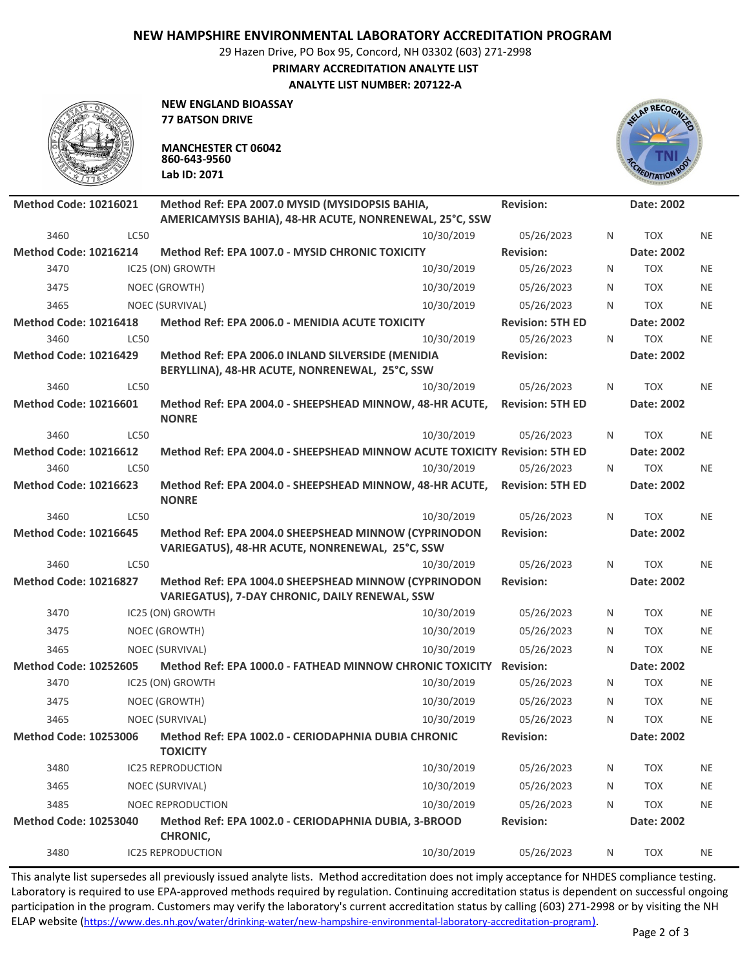## **NEW HAMPSHIRE ENVIRONMENTAL LABORATORY ACCREDITATION PROGRAM**

29 Hazen Drive, PO Box 95, Concord, NH 03302 (603) 271-2998

**PRIMARY ACCREDITATION ANALYTE LIST**

**ANALYTE LIST NUMBER: 207122-A**



**NEW ENGLAND BIOASSAY 77 BATSON DRIVE**

**MANCHESTER CT 06042 860-643-9560 Lab ID: 2071**



| <b>Method Code: 10216021</b> |             | Method Ref: EPA 2007.0 MYSID (MYSIDOPSIS BAHIA,                                                         |            | <b>Revision:</b>        |              | Date: 2002 |           |
|------------------------------|-------------|---------------------------------------------------------------------------------------------------------|------------|-------------------------|--------------|------------|-----------|
|                              |             | AMERICAMYSIS BAHIA), 48-HR ACUTE, NONRENEWAL, 25°C, SSW                                                 |            |                         |              |            |           |
| 3460                         | <b>LC50</b> |                                                                                                         | 10/30/2019 | 05/26/2023              | N            | <b>TOX</b> | <b>NE</b> |
| <b>Method Code: 10216214</b> |             | Method Ref: EPA 1007.0 - MYSID CHRONIC TOXICITY                                                         |            | <b>Revision:</b>        |              | Date: 2002 |           |
| 3470                         |             | IC25 (ON) GROWTH                                                                                        | 10/30/2019 | 05/26/2023              | N            | <b>TOX</b> | <b>NE</b> |
| 3475                         |             | NOEC (GROWTH)                                                                                           | 10/30/2019 | 05/26/2023              | N            | <b>TOX</b> | <b>NE</b> |
| 3465                         |             | NOEC (SURVIVAL)                                                                                         | 10/30/2019 | 05/26/2023              | N            | <b>TOX</b> | <b>NE</b> |
| <b>Method Code: 10216418</b> |             | Method Ref: EPA 2006.0 - MENIDIA ACUTE TOXICITY                                                         |            | <b>Revision: 5TH ED</b> |              | Date: 2002 |           |
| 3460                         | LC50        |                                                                                                         | 10/30/2019 | 05/26/2023              | $\mathsf{N}$ | <b>TOX</b> | <b>NE</b> |
| <b>Method Code: 10216429</b> |             | Method Ref: EPA 2006.0 INLAND SILVERSIDE (MENIDIA<br>BERYLLINA), 48-HR ACUTE, NONRENEWAL, 25°C, SSW     |            | <b>Revision:</b>        |              | Date: 2002 |           |
| 3460                         | LC50        |                                                                                                         | 10/30/2019 | 05/26/2023              | N            | <b>TOX</b> | <b>NE</b> |
| <b>Method Code: 10216601</b> |             | Method Ref: EPA 2004.0 - SHEEPSHEAD MINNOW, 48-HR ACUTE,<br><b>NONRE</b>                                |            | <b>Revision: 5TH ED</b> |              | Date: 2002 |           |
| 3460                         | <b>LC50</b> |                                                                                                         | 10/30/2019 | 05/26/2023              | N            | <b>TOX</b> | NE        |
| <b>Method Code: 10216612</b> |             | Method Ref: EPA 2004.0 - SHEEPSHEAD MINNOW ACUTE TOXICITY Revision: 5TH ED                              |            |                         |              | Date: 2002 |           |
| 3460                         | <b>LC50</b> |                                                                                                         | 10/30/2019 | 05/26/2023              | N            | <b>TOX</b> | <b>NE</b> |
| <b>Method Code: 10216623</b> |             | Method Ref: EPA 2004.0 - SHEEPSHEAD MINNOW, 48-HR ACUTE,<br><b>NONRE</b>                                |            | <b>Revision: 5TH ED</b> |              | Date: 2002 |           |
| 3460                         | <b>LC50</b> |                                                                                                         | 10/30/2019 | 05/26/2023              | $\mathsf{N}$ | <b>TOX</b> | <b>NE</b> |
| <b>Method Code: 10216645</b> |             | Method Ref: EPA 2004.0 SHEEPSHEAD MINNOW (CYPRINODON<br>VARIEGATUS), 48-HR ACUTE, NONRENEWAL, 25°C, SSW |            | <b>Revision:</b>        |              | Date: 2002 |           |
| 3460                         | <b>LC50</b> |                                                                                                         | 10/30/2019 | 05/26/2023              | N            | <b>TOX</b> | <b>NE</b> |
| <b>Method Code: 10216827</b> |             | Method Ref: EPA 1004.0 SHEEPSHEAD MINNOW (CYPRINODON<br>VARIEGATUS), 7-DAY CHRONIC, DAILY RENEWAL, SSW  |            | <b>Revision:</b>        |              | Date: 2002 |           |
| 3470                         |             | IC25 (ON) GROWTH                                                                                        | 10/30/2019 | 05/26/2023              | N            | <b>TOX</b> | <b>NE</b> |
| 3475                         |             | NOEC (GROWTH)                                                                                           | 10/30/2019 | 05/26/2023              | N            | <b>TOX</b> | <b>NE</b> |
| 3465                         |             | NOEC (SURVIVAL)                                                                                         | 10/30/2019 | 05/26/2023              | N            | <b>TOX</b> | <b>NE</b> |
| <b>Method Code: 10252605</b> |             | Method Ref: EPA 1000.0 - FATHEAD MINNOW CHRONIC TOXICITY                                                |            | <b>Revision:</b>        |              | Date: 2002 |           |
| 3470                         |             | IC25 (ON) GROWTH                                                                                        | 10/30/2019 | 05/26/2023              | N            | <b>TOX</b> | NE        |
| 3475                         |             | NOEC (GROWTH)                                                                                           | 10/30/2019 | 05/26/2023              | N            | <b>TOX</b> | <b>NE</b> |
| 3465                         |             | NOEC (SURVIVAL)                                                                                         | 10/30/2019 | 05/26/2023              | N            | <b>TOX</b> | <b>NE</b> |
| <b>Method Code: 10253006</b> |             | Method Ref: EPA 1002.0 - CERIODAPHNIA DUBIA CHRONIC<br><b>TOXICITY</b>                                  |            | <b>Revision:</b>        |              | Date: 2002 |           |
| 3480                         |             | <b>IC25 REPRODUCTION</b>                                                                                | 10/30/2019 | 05/26/2023              | N            | <b>TOX</b> | <b>NE</b> |
| 3465                         |             | NOEC (SURVIVAL)                                                                                         | 10/30/2019 | 05/26/2023              | N            | <b>TOX</b> | <b>NE</b> |
| 3485                         |             | <b>NOEC REPRODUCTION</b>                                                                                | 10/30/2019 | 05/26/2023              | N            | <b>TOX</b> | <b>NE</b> |
| <b>Method Code: 10253040</b> |             | Method Ref: EPA 1002.0 - CERIODAPHNIA DUBIA, 3-BROOD<br>CHRONIC,                                        |            | <b>Revision:</b>        |              | Date: 2002 |           |
| 3480                         |             | <b>IC25 REPRODUCTION</b>                                                                                | 10/30/2019 | 05/26/2023              | N            | TOX        | <b>NE</b> |

This analyte list supersedes all previously issued analyte lists. Method accreditation does not imply acceptance for NHDES compliance testing. Laboratory is required to use EPA-approved methods required by regulation. Continuing accreditation status is dependent on successful ongoing participation in the program. Customers may verify the laboratory's current accreditation status by calling (603) 271-2998 or by visiting the NH ELAP website (https://www.des.nh.gov/water/drinking-water/new-hampshire-environmental-laboratory-accreditation-program).